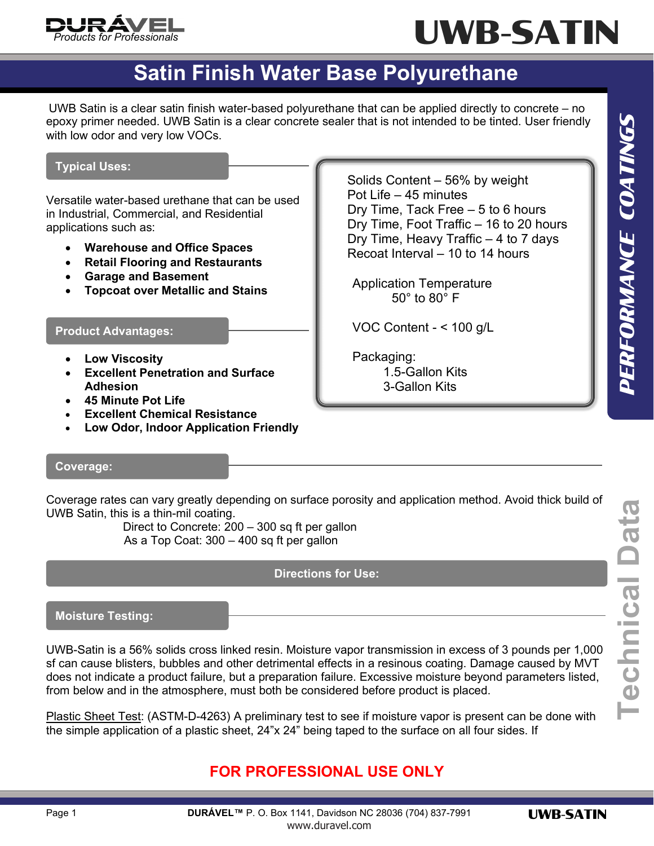

# UWB-SATIN

### **Satin Finish Water Base Polyurethane**

UWB Satin is a clear satin finish water-based polyurethane that can be applied directly to concrete – no epoxy primer needed. UWB Satin is a clear concrete sealer that is not intended to be tinted. User friendly with low odor and very low VOCs.

#### **Typical Uses:**

Versatile water-based urethane that can be used in Industrial, Commercial, and Residential applications such as:

- **Warehouse and Office Spaces**
- **Retail Flooring and Restaurants**
- **Garage and Basement**
- **Topcoat over Metallic and Stains**

#### **Product Advantages:**

- **Low Viscosity**
- **Excellent Penetration and Surface Adhesion**
- **45 Minute Pot Life**
- **Excellent Chemical Resistance**
- **Low Odor, Indoor Application Friendly**

 Solids Content – 56% by weight Pot Life – 45 minutes Dry Time, Tack Free – 5 to 6 hours Dry Time, Foot Traffic – 16 to 20 hours Dry Time, Heavy Traffic – 4 to 7 days Recoat Interval – 10 to 14 hours

Application Temperature 50° to 80° F

VOC Content - < 100 g/L

Packaging: 1.5-Gallon Kits 3-Gallon Kits

#### **Coverage:**

Coverage rates can vary greatly depending on surface porosity and application method. Avoid thick build of UWB Satin, this is a thin-mil coating.

Direct to Concrete: 200 – 300 sq ft per gallon As a Top Coat: 300 – 400 sq ft per gallon

#### **Directions for Use:**

**Moisture Testing:**

UWB-Satin is a 56% solids cross linked resin. Moisture vapor transmission in excess of 3 pounds per 1,000 sf can cause blisters, bubbles and other detrimental effects in a resinous coating. Damage caused by MVT does not indicate a product failure, but a preparation failure. Excessive moisture beyond parameters listed, from below and in the atmosphere, must both be considered before product is placed.

Plastic Sheet Test: (ASTM-D-4263) A preliminary test to see if moisture vapor is present can be done with the simple application of a plastic sheet, 24"x 24" being taped to the surface on all four sides. If

#### **FOR PROFESSIONAL USE ONLY**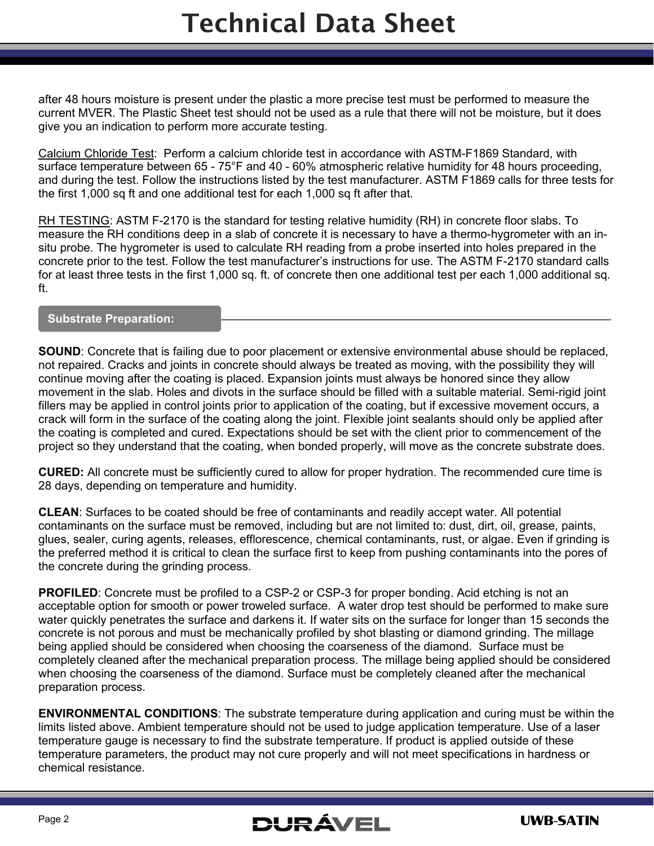after 48 hours moisture is present under the plastic a more precise test must be performed to measure the current MVER. The Plastic Sheet test should not be used as a rule that there will not be moisture, but it does give you an indication to perform more accurate testing.

Calcium Chloride Test: Perform a calcium chloride test in accordance with ASTM-F1869 Standard, with surface temperature between 65 - 75°F and 40 - 60% atmospheric relative humidity for 48 hours proceeding. and during the test. Follow the instructions listed by the test manufacturer. ASTM F1869 calls for three tests for the first 1,000 sq ft and one additional test for each 1,000 sq ft after that.

RH TESTING: ASTM F-2170 is the standard for testing relative humidity (RH) in concrete floor slabs. To measure the RH conditions deep in a slab of concrete it is necessary to have a thermo-hygrometer with an insitu probe. The hygrometer is used to calculate RH reading from a probe inserted into holes prepared in the concrete prior to the test. Follow the test manufacturer's instructions for use. The ASTM F-2170 standard calls for at least three tests in the first 1,000 sq. ft. of concrete then one additional test per each 1,000 additional sq. ft.

#### **Substrate Preparation:**

**SOUND**: Concrete that is failing due to poor placement or extensive environmental abuse should be replaced, not repaired. Cracks and joints in concrete should always be treated as moving, with the possibility they will continue moving after the coating is placed. Expansion joints must always be honored since they allow movement in the slab. Holes and divots in the surface should be filled with a suitable material. Semi-rigid joint fillers may be applied in control joints prior to application of the coating, but if excessive movement occurs, a crack will form in the surface of the coating along the joint. Flexible joint sealants should only be applied after the coating is completed and cured. Expectations should be set with the client prior to commencement of the project so they understand that the coating, when bonded properly, will move as the concrete substrate does.

**CURED:** All concrete must be sufficiently cured to allow for proper hydration. The recommended cure time is 28 days, depending on temperature and humidity.

**CLEAN**: Surfaces to be coated should be free of contaminants and readily accept water. All potential contaminants on the surface must be removed, including but are not limited to: dust, dirt, oil, grease, paints, glues, sealer, curing agents, releases, efflorescence, chemical contaminants, rust, or algae. Even if grinding is the preferred method it is critical to clean the surface first to keep from pushing contaminants into the pores of the concrete during the grinding process.

**PROFILED:** Concrete must be profiled to a CSP-2 or CSP-3 for proper bonding. Acid etching is not an acceptable option for smooth or power troweled surface. A water drop test should be performed to make sure water quickly penetrates the surface and darkens it. If water sits on the surface for longer than 15 seconds the concrete is not porous and must be mechanically profiled by shot blasting or diamond grinding. The millage being applied should be considered when choosing the coarseness of the diamond. Surface must be completely cleaned after the mechanical preparation process. The millage being applied should be considered when choosing the coarseness of the diamond. Surface must be completely cleaned after the mechanical preparation process.

**ENVIRONMENTAL CONDITIONS**: The substrate temperature during application and curing must be within the limits listed above. Ambient temperature should not be used to judge application temperature. Use of a laser temperature gauge is necessary to find the substrate temperature. If product is applied outside of these temperature parameters, the product may not cure properly and will not meet specifications in hardness or chemical resistance.

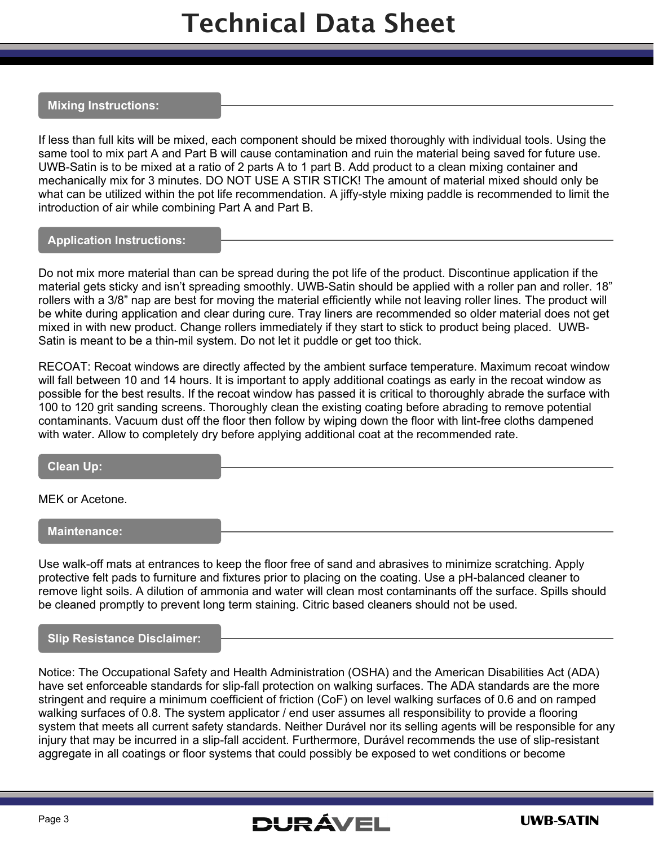### Technical Data Sheet

#### **Mixing Instructions:**

If less than full kits will be mixed, each component should be mixed thoroughly with individual tools. Using the same tool to mix part A and Part B will cause contamination and ruin the material being saved for future use. UWB-Satin is to be mixed at a ratio of 2 parts A to 1 part B. Add product to a clean mixing container and mechanically mix for 3 minutes. DO NOT USE A STIR STICK! The amount of material mixed should only be what can be utilized within the pot life recommendation. A jiffy-style mixing paddle is recommended to limit the introduction of air while combining Part A and Part B.

#### **Application Instructions:**

Do not mix more material than can be spread during the pot life of the product. Discontinue application if the material gets sticky and isn't spreading smoothly. UWB-Satin should be applied with a roller pan and roller. 18" rollers with a 3/8" nap are best for moving the material efficiently while not leaving roller lines. The product will be white during application and clear during cure. Tray liners are recommended so older material does not get mixed in with new product. Change rollers immediately if they start to stick to product being placed. UWB-Satin is meant to be a thin-mil system. Do not let it puddle or get too thick.

RECOAT: Recoat windows are directly affected by the ambient surface temperature. Maximum recoat window will fall between 10 and 14 hours. It is important to apply additional coatings as early in the recoat window as possible for the best results. If the recoat window has passed it is critical to thoroughly abrade the surface with 100 to 120 grit sanding screens. Thoroughly clean the existing coating before abrading to remove potential contaminants. Vacuum dust off the floor then follow by wiping down the floor with lint-free cloths dampened with water. Allow to completely dry before applying additional coat at the recommended rate.

#### **Clean Up:**

MEK or Acetone.

**Maintenance:**

Use walk-off mats at entrances to keep the floor free of sand and abrasives to minimize scratching. Apply protective felt pads to furniture and fixtures prior to placing on the coating. Use a pH-balanced cleaner to remove light soils. A dilution of ammonia and water will clean most contaminants off the surface. Spills should be cleaned promptly to prevent long term staining. Citric based cleaners should not be used.

#### **Slip Resistance Disclaimer:**

Notice: The Occupational Safety and Health Administration (OSHA) and the American Disabilities Act (ADA) have set enforceable standards for slip-fall protection on walking surfaces. The ADA standards are the more stringent and require a minimum coefficient of friction (CoF) on level walking surfaces of 0.6 and on ramped walking surfaces of 0.8. The system applicator / end user assumes all responsibility to provide a flooring system that meets all current safety standards. Neither Durável nor its selling agents will be responsible for any injury that may be incurred in a slip-fall accident. Furthermore, Durável recommends the use of slip-resistant aggregate in all coatings or floor systems that could possibly be exposed to wet conditions or become

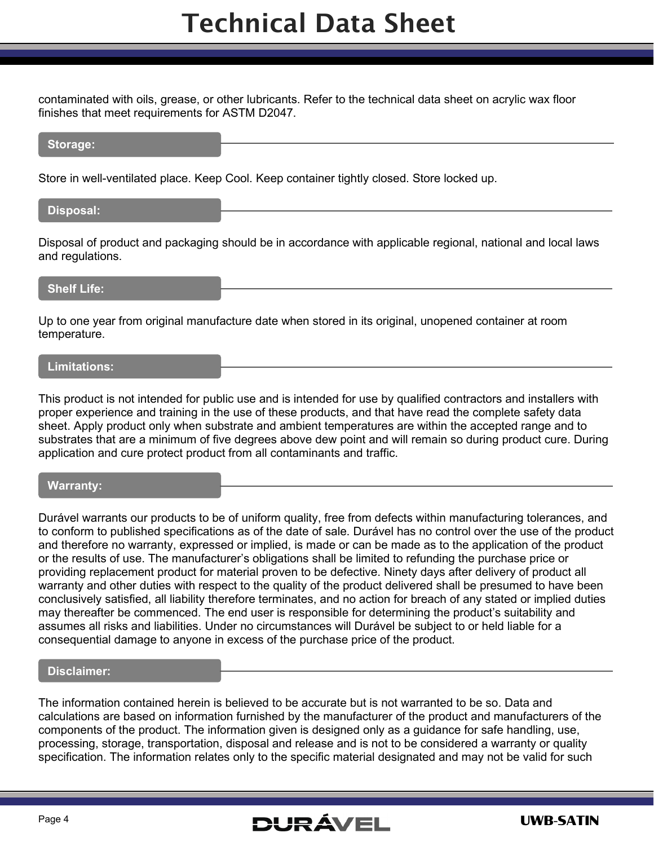## Technical Data Sheet

contaminated with oils, grease, or other lubricants. Refer to the technical data sheet on acrylic wax floor finishes that meet requirements for ASTM D2047.

#### **Storage:**

Store in well-ventilated place. Keep Cool. Keep container tightly closed. Store locked up.

#### **Disposal:**

Disposal of product and packaging should be in accordance with applicable regional, national and local laws and regulations.

#### **Shelf Life:**

Up to one year from original manufacture date when stored in its original, unopened container at room temperature.

#### **Limitations:**

This product is not intended for public use and is intended for use by qualified contractors and installers with proper experience and training in the use of these products, and that have read the complete safety data sheet. Apply product only when substrate and ambient temperatures are within the accepted range and to substrates that are a minimum of five degrees above dew point and will remain so during product cure. During application and cure protect product from all contaminants and traffic.

#### **Warranty:**

Durável warrants our products to be of uniform quality, free from defects within manufacturing tolerances, and to conform to published specifications as of the date of sale. Durável has no control over the use of the product and therefore no warranty, expressed or implied, is made or can be made as to the application of the product or the results of use. The manufacturer's obligations shall be limited to refunding the purchase price or providing replacement product for material proven to be defective. Ninety days after delivery of product all warranty and other duties with respect to the quality of the product delivered shall be presumed to have been conclusively satisfied, all liability therefore terminates, and no action for breach of any stated or implied duties may thereafter be commenced. The end user is responsible for determining the product's suitability and assumes all risks and liabilities. Under no circumstances will Durável be subject to or held liable for a consequential damage to anyone in excess of the purchase price of the product.

#### **Disclaimer:**

The information contained herein is believed to be accurate but is not warranted to be so. Data and calculations are based on information furnished by the manufacturer of the product and manufacturers of the components of the product. The information given is designed only as a guidance for safe handling, use, processing, storage, transportation, disposal and release and is not to be considered a warranty or quality specification. The information relates only to the specific material designated and may not be valid for such